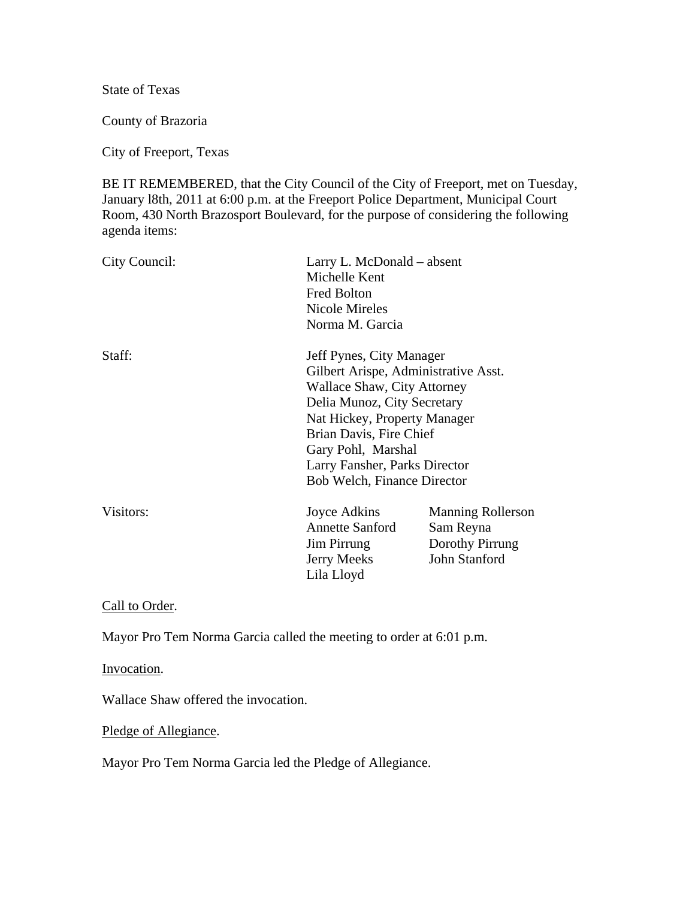State of Texas

County of Brazoria

City of Freeport, Texas

BE IT REMEMBERED, that the City Council of the City of Freeport, met on Tuesday, January l8th, 2011 at 6:00 p.m. at the Freeport Police Department, Municipal Court Room, 430 North Brazosport Boulevard, for the purpose of considering the following agenda items:

| City Council: | Larry L. McDonald – absent<br>Michelle Kent<br><b>Fred Bolton</b><br><b>Nicole Mireles</b><br>Norma M. Garcia                                                                                                                                                                          |                                                                           |
|---------------|----------------------------------------------------------------------------------------------------------------------------------------------------------------------------------------------------------------------------------------------------------------------------------------|---------------------------------------------------------------------------|
| Staff:        | Jeff Pynes, City Manager<br>Gilbert Arispe, Administrative Asst.<br>Wallace Shaw, City Attorney<br>Delia Munoz, City Secretary<br>Nat Hickey, Property Manager<br>Brian Davis, Fire Chief<br>Gary Pohl, Marshal<br>Larry Fansher, Parks Director<br><b>Bob Welch, Finance Director</b> |                                                                           |
| Visitors:     | Joyce Adkins<br><b>Annette Sanford</b><br>Jim Pirrung<br>Jerry Meeks<br>Lila Lloyd                                                                                                                                                                                                     | <b>Manning Rollerson</b><br>Sam Reyna<br>Dorothy Pirrung<br>John Stanford |

Call to Order.

Mayor Pro Tem Norma Garcia called the meeting to order at 6:01 p.m.

Invocation.

Wallace Shaw offered the invocation.

Pledge of Allegiance.

Mayor Pro Tem Norma Garcia led the Pledge of Allegiance.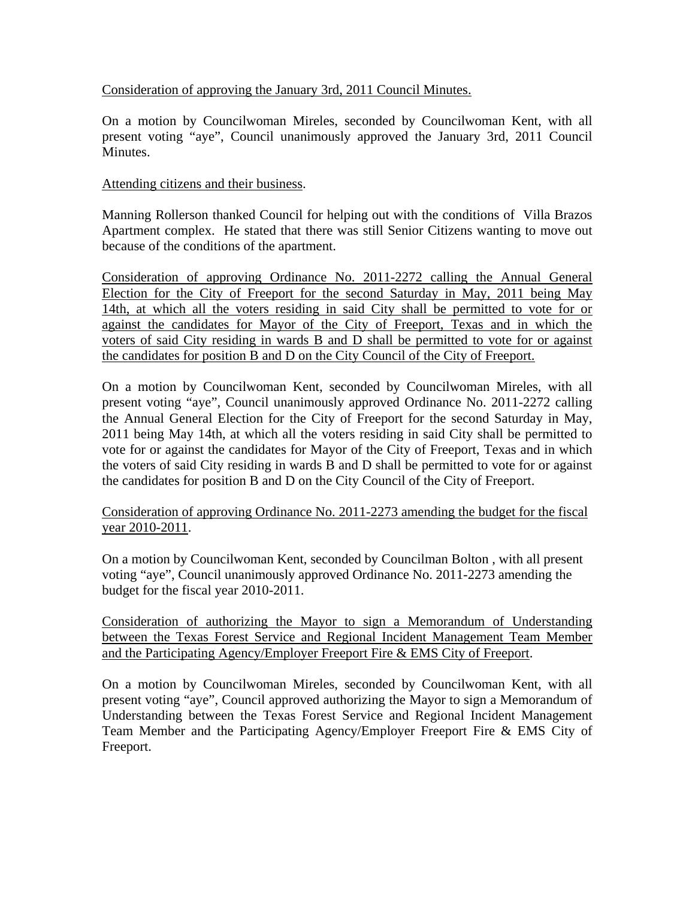### Consideration of approving the January 3rd, 2011 Council Minutes.

On a motion by Councilwoman Mireles, seconded by Councilwoman Kent, with all present voting "aye", Council unanimously approved the January 3rd, 2011 Council **Minutes** 

### Attending citizens and their business.

Manning Rollerson thanked Council for helping out with the conditions of Villa Brazos Apartment complex. He stated that there was still Senior Citizens wanting to move out because of the conditions of the apartment.

Consideration of approving Ordinance No. 2011-2272 calling the Annual General Election for the City of Freeport for the second Saturday in May, 2011 being May 14th, at which all the voters residing in said City shall be permitted to vote for or against the candidates for Mayor of the City of Freeport, Texas and in which the voters of said City residing in wards B and D shall be permitted to vote for or against the candidates for position B and D on the City Council of the City of Freeport.

On a motion by Councilwoman Kent, seconded by Councilwoman Mireles, with all present voting "aye", Council unanimously approved Ordinance No. 2011-2272 calling the Annual General Election for the City of Freeport for the second Saturday in May, 2011 being May 14th, at which all the voters residing in said City shall be permitted to vote for or against the candidates for Mayor of the City of Freeport, Texas and in which the voters of said City residing in wards B and D shall be permitted to vote for or against the candidates for position B and D on the City Council of the City of Freeport.

### Consideration of approving Ordinance No. 2011-2273 amending the budget for the fiscal year 2010-2011.

On a motion by Councilwoman Kent, seconded by Councilman Bolton , with all present voting "aye", Council unanimously approved Ordinance No. 2011-2273 amending the budget for the fiscal year 2010-2011.

Consideration of authorizing the Mayor to sign a Memorandum of Understanding between the Texas Forest Service and Regional Incident Management Team Member and the Participating Agency/Employer Freeport Fire & EMS City of Freeport.

On a motion by Councilwoman Mireles, seconded by Councilwoman Kent, with all present voting "aye", Council approved authorizing the Mayor to sign a Memorandum of Understanding between the Texas Forest Service and Regional Incident Management Team Member and the Participating Agency/Employer Freeport Fire & EMS City of Freeport.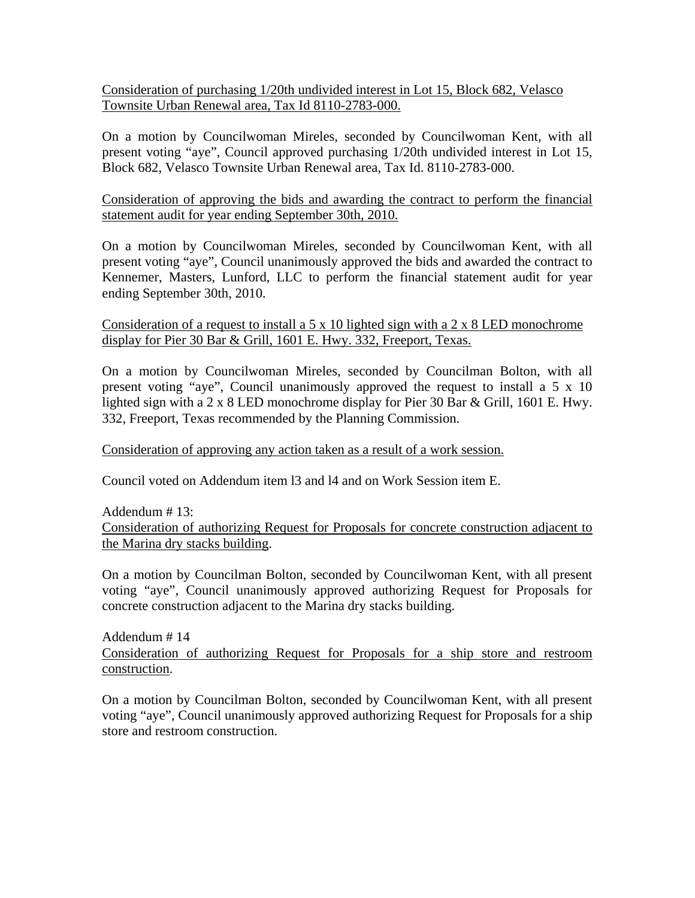Consideration of purchasing 1/20th undivided interest in Lot 15, Block 682, Velasco Townsite Urban Renewal area, Tax Id 8110-2783-000.

On a motion by Councilwoman Mireles, seconded by Councilwoman Kent, with all present voting "aye", Council approved purchasing 1/20th undivided interest in Lot 15, Block 682, Velasco Townsite Urban Renewal area, Tax Id. 8110-2783-000.

Consideration of approving the bids and awarding the contract to perform the financial statement audit for year ending September 30th, 2010.

On a motion by Councilwoman Mireles, seconded by Councilwoman Kent, with all present voting "aye", Council unanimously approved the bids and awarded the contract to Kennemer, Masters, Lunford, LLC to perform the financial statement audit for year ending September 30th, 2010.

Consideration of a request to install a 5 x 10 lighted sign with a 2 x 8 LED monochrome display for Pier 30 Bar & Grill, 1601 E. Hwy. 332, Freeport, Texas.

On a motion by Councilwoman Mireles, seconded by Councilman Bolton, with all present voting "aye", Council unanimously approved the request to install a 5 x 10 lighted sign with a 2 x 8 LED monochrome display for Pier 30 Bar & Grill, 1601 E. Hwy. 332, Freeport, Texas recommended by the Planning Commission.

Consideration of approving any action taken as a result of a work session.

Council voted on Addendum item l3 and l4 and on Work Session item E.

Addendum # 13: Consideration of authorizing Request for Proposals for concrete construction adjacent to the Marina dry stacks building.

On a motion by Councilman Bolton, seconded by Councilwoman Kent, with all present voting "aye", Council unanimously approved authorizing Request for Proposals for concrete construction adjacent to the Marina dry stacks building.

Addendum # 14 Consideration of authorizing Request for Proposals for a ship store and restroom construction.

On a motion by Councilman Bolton, seconded by Councilwoman Kent, with all present voting "aye", Council unanimously approved authorizing Request for Proposals for a ship store and restroom construction.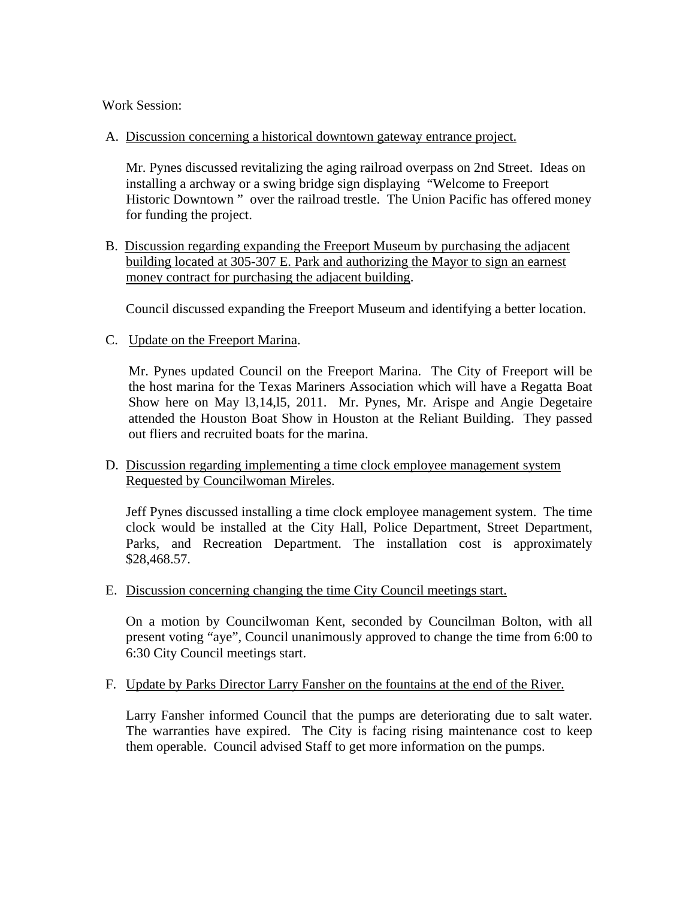Work Session:

A. Discussion concerning a historical downtown gateway entrance project.

 Mr. Pynes discussed revitalizing the aging railroad overpass on 2nd Street. Ideas on installing a archway or a swing bridge sign displaying "Welcome to Freeport Historic Downtown " over the railroad trestle. The Union Pacific has offered money for funding the project.

 B. Discussion regarding expanding the Freeport Museum by purchasing the adjacent building located at 305-307 E. Park and authorizing the Mayor to sign an earnest money contract for purchasing the adjacent building.

Council discussed expanding the Freeport Museum and identifying a better location.

C. Update on the Freeport Marina.

Mr. Pynes updated Council on the Freeport Marina. The City of Freeport will be the host marina for the Texas Mariners Association which will have a Regatta Boat Show here on May l3,14,l5, 2011. Mr. Pynes, Mr. Arispe and Angie Degetaire attended the Houston Boat Show in Houston at the Reliant Building. They passed out fliers and recruited boats for the marina.

### D. Discussion regarding implementing a time clock employee management system Requested by Councilwoman Mireles.

Jeff Pynes discussed installing a time clock employee management system. The time clock would be installed at the City Hall, Police Department, Street Department, Parks, and Recreation Department. The installation cost is approximately \$28,468.57.

E. Discussion concerning changing the time City Council meetings start.

On a motion by Councilwoman Kent, seconded by Councilman Bolton, with all present voting "aye", Council unanimously approved to change the time from 6:00 to 6:30 City Council meetings start.

F. Update by Parks Director Larry Fansher on the fountains at the end of the River.

Larry Fansher informed Council that the pumps are deteriorating due to salt water. The warranties have expired. The City is facing rising maintenance cost to keep them operable. Council advised Staff to get more information on the pumps.